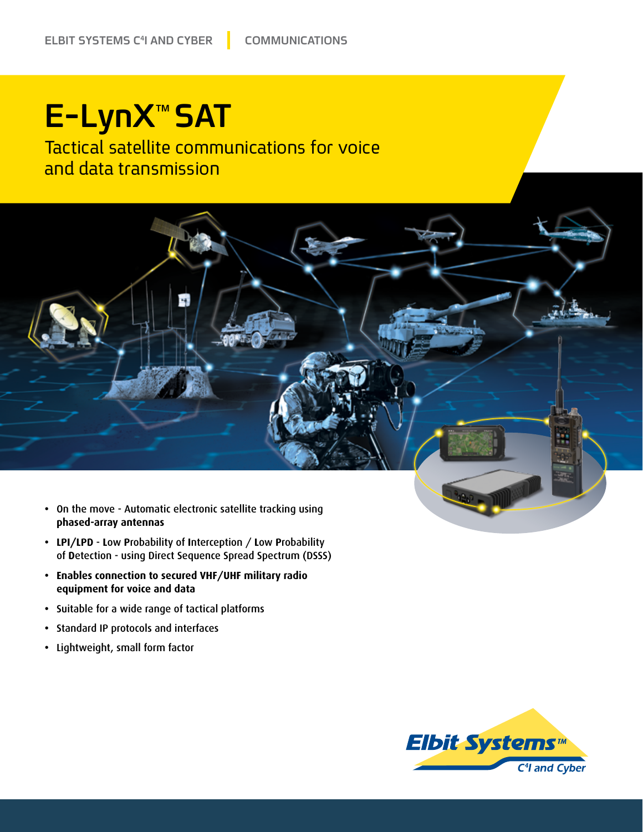## **E-LynX<sup>™</sup>SAT**

Tactical satellite communications for voice and data transmission



- LPI/LPD Low Probability of Interception / Low Probability of Detection - using Direct Sequence Spread Spectrum (DSSS)
- **•** Enables connection to secured VHF/UHF military radio **data and voice for equipment**
- Suitable for a wide range of tactical platforms
- Standard IP protocols and interfaces
- **•** Lightweight, small form factor